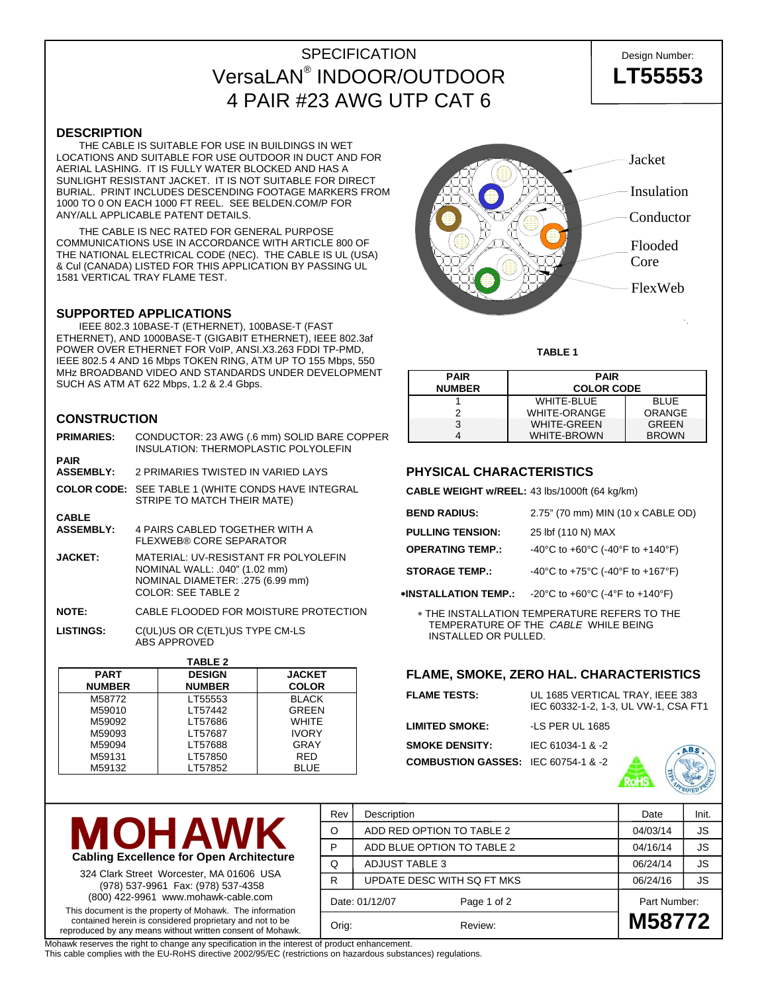## SPECIFICATION Design Number: VersaLAN® INDOOR/OUTDOOR **LT55553** 4 PAIR #23 AWG UTP CAT 6

**DESCRIPTION** 

 THE CABLE IS SUITABLE FOR USE IN BUILDINGS IN WET LOCATIONS AND SUITABLE FOR USE OUTDOOR IN DUCT AND FOR AERIAL LASHING. IT IS FULLY WATER BLOCKED AND HAS A SUNLIGHT RESISTANT JACKET. IT IS NOT SUITABLE FOR DIRECT BURIAL. PRINT INCLUDES DESCENDING FOOTAGE MARKERS FROM 1000 TO 0 ON EACH 1000 FT REEL. SEE BELDEN.COM/P FOR ANY/ALL APPLICABLE PATENT DETAILS.

 THE CABLE IS NEC RATED FOR GENERAL PURPOSE COMMUNICATIONS USE IN ACCORDANCE WITH ARTICLE 800 OF THE NATIONAL ELECTRICAL CODE (NEC). THE CABLE IS UL (USA) & Cul (CANADA) LISTED FOR THIS APPLICATION BY PASSING UL 1581 VERTICAL TRAY FLAME TEST.

#### **SUPPORTED APPLICATIONS**

 IEEE 802.3 10BASE-T (ETHERNET), 100BASE-T (FAST ETHERNET), AND 1000BASE-T (GIGABIT ETHERNET), IEEE 802.3af POWER OVER ETHERNET FOR VoIP, ANSI.X3.263 FDDI TP-PMD, IEEE 802.5 4 AND 16 Mbps TOKEN RING, ATM UP TO 155 Mbps, 550 MHz BROADBAND VIDEO AND STANDARDS UNDER DEVELOPMENT SUCH AS ATM AT 622 Mbps, 1.2 & 2.4 Gbps.

### **CONSTRUCTION**

| PART                             |                                                                                                                                        | <b>DESIGN</b>                                                         | <b>JACKET</b> |  |  |  |
|----------------------------------|----------------------------------------------------------------------------------------------------------------------------------------|-----------------------------------------------------------------------|---------------|--|--|--|
| <b>TABLE 2</b>                   |                                                                                                                                        |                                                                       |               |  |  |  |
| <b>LISTINGS:</b>                 | C(UL)US OR C(ETL)US TYPE CM-LS<br><b>ABS APPROVED</b>                                                                                  |                                                                       |               |  |  |  |
| <b>NOTE:</b>                     | CABLE FLOODED FOR MOISTURE PROTECTION                                                                                                  |                                                                       |               |  |  |  |
| <b>JACKET:</b>                   | MATERIAL: UV-RESISTANT FR POLYOLEFIN<br>NOMINAL WALL: .040" (1.02 mm)<br>NOMINAL DIAMETER: .275 (6.99 mm)<br><b>COLOR: SEE TABLE 2</b> |                                                                       |               |  |  |  |
| <b>CABLE</b><br><b>ASSEMBLY:</b> | 4 PAIRS CABLED TOGETHER WITH A<br>FLEXWEB® CORE SEPARATOR                                                                              |                                                                       |               |  |  |  |
| <b>COLOR CODE:</b>               |                                                                                                                                        | SEE TABLE 1 (WHITE CONDS HAVE INTEGRAL<br>STRIPE TO MATCH THEIR MATE) |               |  |  |  |
| <b>PAIR</b><br><b>ASSEMBLY:</b>  | 2 PRIMARIES TWISTED IN VARIED LAYS                                                                                                     |                                                                       |               |  |  |  |
| <b>PRIMARIES:</b>                | CONDUCTOR: 23 AWG (.6 mm) SOLID BARE COPPER<br>INSULATION: THERMOPLASTIC POLYOLEFIN                                                    |                                                                       |               |  |  |  |

| <b>PART</b>   | <b>DESIGN</b> | <b>JACKET</b> |  |  |
|---------------|---------------|---------------|--|--|
| <b>NUMBER</b> | <b>NUMBER</b> | <b>COLOR</b>  |  |  |
| M58772        | LT55553       | <b>BLACK</b>  |  |  |
| M59010        | LT57442       | <b>GREEN</b>  |  |  |
| M59092        | LT57686       | <b>WHITE</b>  |  |  |
| M59093        | LT57687       | <b>IVORY</b>  |  |  |
| M59094        | LT57688       | GRAY          |  |  |
| M59131        | LT57850       | <b>RED</b>    |  |  |
| M59132        | LT57852       | <b>BLUE</b>   |  |  |



324 Clark Street Worcester, MA 01606 USA (978) 537-9961 Fax: (978) 537-4358 (800) 422-9961 www.mohawk-cable.com

This document is the property of Mohawk. The information contained herein is considered proprietary and not to be reproduced by any means without written consent of Mohawk.

Mohawk reserves the right to change any specification in the interest of product enhancement.

This cable complies with the EU-RoHS directive 2002/95/EC (restrictions on hazardous substances) regulations.



**TABLE 1** 

| <b>PAIR</b><br><b>NUMBER</b> | <b>PAIR</b><br><b>COLOR CODE</b> |               |  |  |  |
|------------------------------|----------------------------------|---------------|--|--|--|
|                              | <b>WHITE-BLUE</b>                | <b>BLUE</b>   |  |  |  |
| າ                            | WHITE-ORANGE                     | <b>ORANGE</b> |  |  |  |
| 3                            | <b>WHITE-GREEN</b>               | <b>GREEN</b>  |  |  |  |
|                              | WHITE-BROWN                      | <b>BROWN</b>  |  |  |  |

## **PHYSICAL CHARACTERISTICS**

**CABLE WEIGHT w/REEL:** 43 lbs/1000ft (64 kg/km)

| <b>BEND RADIUS:</b>     | 2.75" (70 mm) MIN (10 x CABLE OD)                                                               |
|-------------------------|-------------------------------------------------------------------------------------------------|
| <b>PULLING TENSION:</b> | 25 lbf (110 N) MAX                                                                              |
| <b>OPERATING TEMP.:</b> | -40°C to +60°C (-40°F to +140°F)                                                                |
| <b>STORAGE TEMP.:</b>   | -40°C to +75°C (-40°F to +167°F)                                                                |
|                         | *INSTALLATION TEMP.: $-20^{\circ}$ C to +60 $^{\circ}$ C (-4 $^{\circ}$ F to +140 $^{\circ}$ F) |

∗ THE INSTALLATION TEMPERATURE REFERS TO THE TEMPERATURE OF THE *CABLE* WHILE BEING INSTALLED OR PULLED.

## **FLAME, SMOKE, ZERO HAL. CHARACTERISTICS**

| <b>FLAME TESTS:</b>                            | UL 1685 VERTICAL TRAY, IEEE 383<br>IEC 60332-1-2, 1-3, UL VW-1, CSA FT1 |
|------------------------------------------------|-------------------------------------------------------------------------|
| <b>LIMITED SMOKE:</b>                          | -LS PER UL 1685                                                         |
| <b>SMOKE DENSITY:</b>                          | IEC 61034-1 & -2                                                        |
| <b>COMBUSTION GASSES: IEC 60754-1 &amp; -2</b> |                                                                         |

**ROHS** 

| Rev   | Description                   | Date         | Init.     |
|-------|-------------------------------|--------------|-----------|
| O     | ADD RED OPTION TO TABLE 2     | 04/03/14     | <b>JS</b> |
| P     | ADD BLUE OPTION TO TABLE 2    | 04/16/14     | JS        |
| Q     | <b>ADJUST TABLE 3</b>         | 06/24/14     | <b>JS</b> |
| R     | UPDATE DESC WITH SQ FT MKS    | 06/24/16     | JS.       |
|       | Date: 01/12/07<br>Page 1 of 2 | Part Number: |           |
| Orig: | Review:                       | M58772       |           |